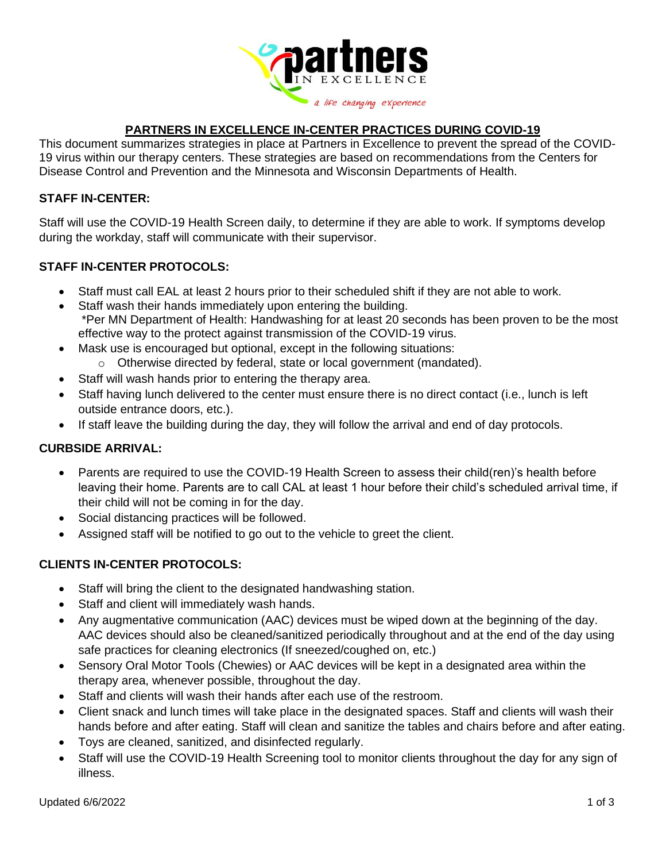

## **PARTNERS IN EXCELLENCE IN-CENTER PRACTICES DURING COVID-19**

This document summarizes strategies in place at Partners in Excellence to prevent the spread of the COVID-19 virus within our therapy centers. These strategies are based on recommendations from the Centers for Disease Control and Prevention and the Minnesota and Wisconsin Departments of Health.

#### **STAFF IN-CENTER:**

Staff will use the COVID-19 Health Screen daily, to determine if they are able to work. If symptoms develop during the workday, staff will communicate with their supervisor.

## **STAFF IN-CENTER PROTOCOLS:**

- Staff must call EAL at least 2 hours prior to their scheduled shift if they are not able to work.
- Staff wash their hands immediately upon entering the building. \*Per MN Department of Health: Handwashing for at least 20 seconds has been proven to be the most effective way to the protect against transmission of the COVID-19 virus.
- Mask use is encouraged but optional, except in the following situations:
	- o Otherwise directed by federal, state or local government (mandated).
- Staff will wash hands prior to entering the therapy area.
- Staff having lunch delivered to the center must ensure there is no direct contact (i.e., lunch is left outside entrance doors, etc.).
- If staff leave the building during the day, they will follow the arrival and end of day protocols.

### **CURBSIDE ARRIVAL:**

- Parents are required to use the COVID-19 Health Screen to assess their child(ren)'s health before leaving their home. Parents are to call CAL at least 1 hour before their child's scheduled arrival time, if their child will not be coming in for the day.
- Social distancing practices will be followed.
- Assigned staff will be notified to go out to the vehicle to greet the client.

# **CLIENTS IN-CENTER PROTOCOLS:**

- Staff will bring the client to the designated handwashing station.
- Staff and client will immediately wash hands.
- Any augmentative communication (AAC) devices must be wiped down at the beginning of the day. AAC devices should also be cleaned/sanitized periodically throughout and at the end of the day using safe practices for cleaning electronics (If sneezed/coughed on, etc.)
- Sensory Oral Motor Tools (Chewies) or AAC devices will be kept in a designated area within the therapy area, whenever possible, throughout the day.
- Staff and clients will wash their hands after each use of the restroom.
- Client snack and lunch times will take place in the designated spaces. Staff and clients will wash their hands before and after eating. Staff will clean and sanitize the tables and chairs before and after eating.
- Toys are cleaned, sanitized, and disinfected regularly.
- Staff will use the COVID-19 Health Screening tool to monitor clients throughout the day for any sign of illness.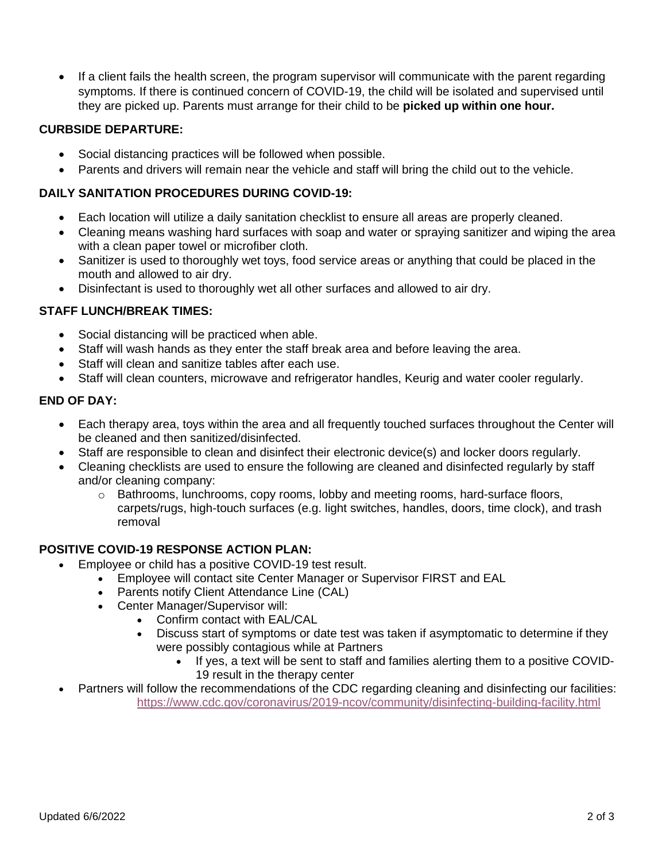• If a client fails the health screen, the program supervisor will communicate with the parent regarding symptoms. If there is continued concern of COVID-19, the child will be isolated and supervised until they are picked up. Parents must arrange for their child to be **picked up within one hour.**

### **CURBSIDE DEPARTURE:**

- Social distancing practices will be followed when possible.
- Parents and drivers will remain near the vehicle and staff will bring the child out to the vehicle.

## **DAILY SANITATION PROCEDURES DURING COVID-19:**

- Each location will utilize a daily sanitation checklist to ensure all areas are properly cleaned.
- Cleaning means washing hard surfaces with soap and water or spraying sanitizer and wiping the area with a clean paper towel or microfiber cloth.
- Sanitizer is used to thoroughly wet toys, food service areas or anything that could be placed in the mouth and allowed to air dry.
- Disinfectant is used to thoroughly wet all other surfaces and allowed to air dry.

## **STAFF LUNCH/BREAK TIMES:**

- Social distancing will be practiced when able.
- Staff will wash hands as they enter the staff break area and before leaving the area.
- Staff will clean and sanitize tables after each use.
- Staff will clean counters, microwave and refrigerator handles, Keurig and water cooler regularly.

## **END OF DAY:**

- Each therapy area, toys within the area and all frequently touched surfaces throughout the Center will be cleaned and then sanitized/disinfected.
- Staff are responsible to clean and disinfect their electronic device(s) and locker doors regularly.
- Cleaning checklists are used to ensure the following are cleaned and disinfected regularly by staff and/or cleaning company:
	- o Bathrooms, lunchrooms, copy rooms, lobby and meeting rooms, hard-surface floors, carpets/rugs, high-touch surfaces (e.g. light switches, handles, doors, time clock), and trash removal

# **POSITIVE COVID-19 RESPONSE ACTION PLAN:**

- Employee or child has a positive COVID-19 test result.
	- Employee will contact site Center Manager or Supervisor FIRST and EAL
	- Parents notify Client Attendance Line (CAL)
	- Center Manager/Supervisor will:
		- Confirm contact with EAL/CAL
		- Discuss start of symptoms or date test was taken if asymptomatic to determine if they were possibly contagious while at Partners
			- If yes, a text will be sent to staff and families alerting them to a positive COVID-19 result in the therapy center
- Partners will follow the recommendations of the CDC regarding cleaning and disinfecting our facilities: <https://www.cdc.gov/coronavirus/2019-ncov/community/disinfecting-building-facility.html>